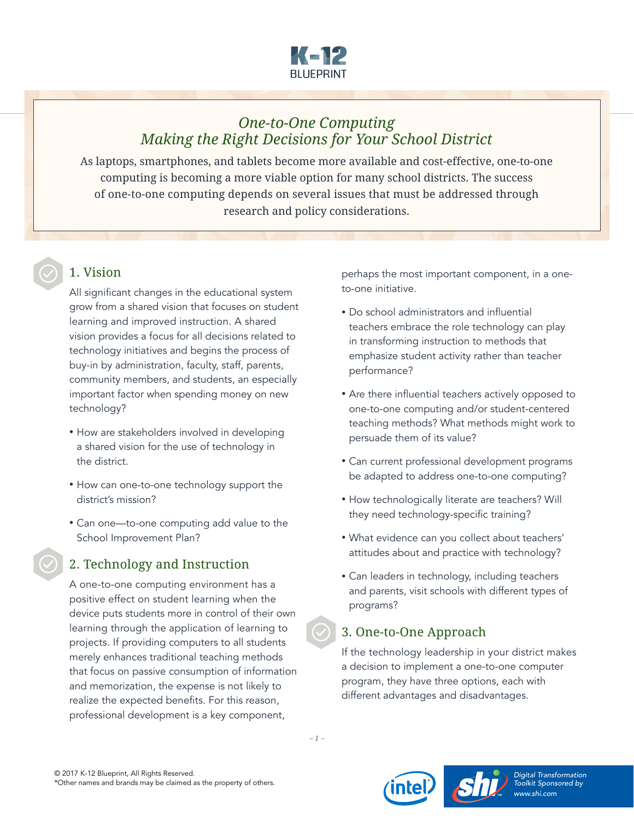

# *One-to-One Computing Making the Right Decisions for Your School District*

As laptops, smartphones, and tablets become more available and cost-effective, one-to-one computing is becoming a more viable option for many school districts. The success of one-to-one computing depends on several issues that must be addressed through research and policy considerations.



### 1. Vision

All significant changes in the educational system grow from a shared vision that focuses on student learning and improved instruction. A shared vision provides a focus for all decisions related to technology initiatives and begins the process of buy-in by administration, faculty, staff, parents, community members, and students, an especially important factor when spending money on new technology?

- How are stakeholders involved in developing a shared vision for the use of technology in the district.
- How can one-to-one technology support the district's mission?
- Can one—to-one computing add value to the School Improvement Plan?

### 2. Technology and Instruction

A one-to-one computing environment has a positive effect on student learning when the device puts students more in control of their own learning through the application of learning to projects. If providing computers to all students merely enhances traditional teaching methods that focus on passive consumption of information and memorization, the expense is not likely to realize the expected benefits. For this reason, professional development is a key component,

perhaps the most important component, in a oneto-one initiative.

- Do school administrators and influential teachers embrace the role technology can play in transforming instruction to methods that emphasize student activity rather than teacher performance?
- Are there influential teachers actively opposed to one-to-one computing and/or student-centered teaching methods? What methods might work to persuade them of its value?
- Can current professional development programs be adapted to address one-to-one computing?
- How technologically literate are teachers? Will they need technology-specific training?
- What evidence can you collect about teachers' attitudes about and practice with technology?
- Can leaders in technology, including teachers and parents, visit schools with different types of programs?

### 3. One-to-One Approach

If the technology leadership in your district makes a decision to implement a one-to-one computer program, they have three options, each with different advantages and disadvantages.





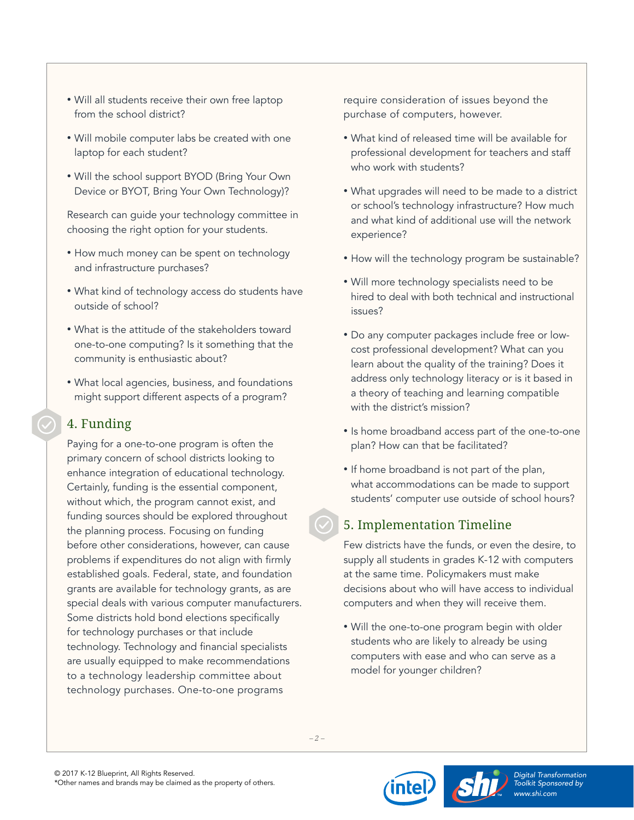- Will all students receive their own free laptop from the school district?
- Will mobile computer labs be created with one laptop for each student?
- Will the school support BYOD (Bring Your Own Device or BYOT, Bring Your Own Technology)?

Research can guide your technology committee in choosing the right option for your students.

- How much money can be spent on technology and infrastructure purchases?
- What kind of technology access do students have outside of school?
- What is the attitude of the stakeholders toward one-to-one computing? Is it something that the community is enthusiastic about?
- What local agencies, business, and foundations might support different aspects of a program?

# 4. Funding

Paying for a one-to-one program is often the primary concern of school districts looking to enhance integration of educational technology. Certainly, funding is the essential component, without which, the program cannot exist, and funding sources should be explored throughout the planning process. Focusing on funding before other considerations, however, can cause problems if expenditures do not align with firmly established goals. Federal, state, and foundation grants are available for technology grants, as are special deals with various computer manufacturers. Some districts hold bond elections specifically for technology purchases or that include technology. Technology and financial specialists are usually equipped to make recommendations to a technology leadership committee about technology purchases. One-to-one programs

require consideration of issues beyond the purchase of computers, however.

- What kind of released time will be available for professional development for teachers and staff who work with students?
- What upgrades will need to be made to a district or school's technology infrastructure? How much and what kind of additional use will the network experience?
- How will the technology program be sustainable?
- Will more technology specialists need to be hired to deal with both technical and instructional issues?
- Do any computer packages include free or lowcost professional development? What can you learn about the quality of the training? Does it address only technology literacy or is it based in a theory of teaching and learning compatible with the district's mission?
- Is home broadband access part of the one-to-one plan? How can that be facilitated?
- If home broadband is not part of the plan, what accommodations can be made to support students' computer use outside of school hours?

## 5. Implementation Timeline

Few districts have the funds, or even the desire, to supply all students in grades K-12 with computers at the same time. Policymakers must make decisions about who will have access to individual computers and when they will receive them.

• Will the one-to-one program begin with older students who are likely to already be using computers with ease and who can serve as a model for younger children?



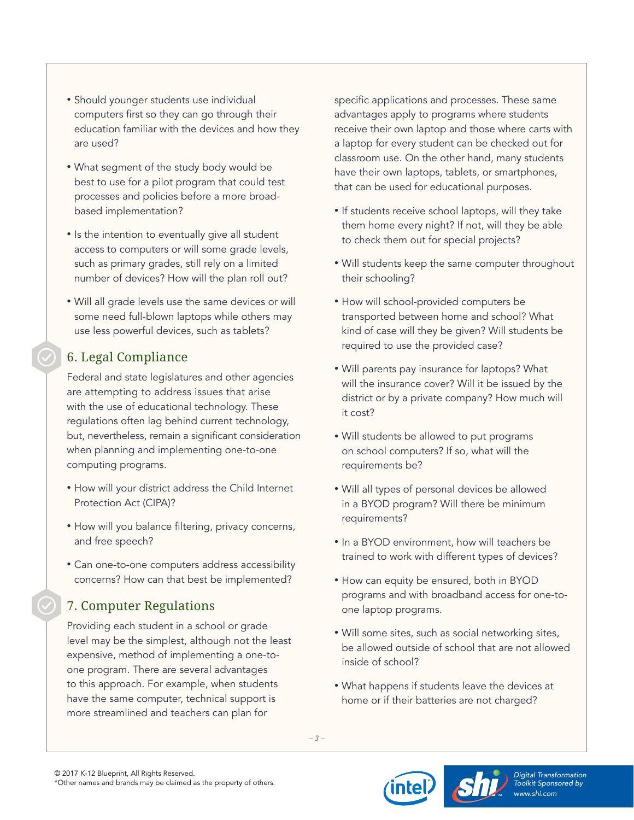- Should younger students use individual computers first so they can go through their education familiar with the devices and how they are used?
- What segment of the study body would be best to use for a pilot program that could test processes and policies before a more broadbased implementation?
- Is the intention to eventually give all student access to computers or will some grade levels, such as primary grades, still rely on a limited number of devices? How will the plan roll out?
- Will all grade levels use the same devices or will some need full-blown laptops while others may use less powerful devices, such as tablets?

## 6. Legal Compliance

Federal and state legislatures and other agencies are attempting to address issues that arise with the use of educational technology. These regulations often lag behind current technology, but, nevertheless, remain a significant consideration when planning and implementing one-to-one computing programs.

- How will your district address the Child Internet Protection Act (CIPA)?
- How will you balance filtering, privacy concerns, and free speech?
- Can one-to-one computers address accessibility concerns? How can that best be implemented?

## 7. Computer Regulations

Providing each student in a school or grade level may be the simplest, although not the least expensive, method of implementing a one-toone program. There are several advantages to this approach. For example, when students have the same computer, technical support is more streamlined and teachers can plan for

specific applications and processes. These same advantages apply to programs where students receive their own laptop and those where carts with a laptop for every student can be checked out for classroom use. On the other hand, many students have their own laptops, tablets, or smartphones, that can be used for educational purposes.

- If students receive school laptops, will they take them home every night? If not, will they be able to check them out for special projects?
- Will students keep the same computer throughout their schooling?
- How will school-provided computers be transported between home and school? What kind of case will they be given? Will students be required to use the provided case?
- Will parents pay insurance for laptops? What will the insurance cover? Will it be issued by the district or by a private company? How much will it cost?
- Will students be allowed to put programs on school computers? If so, what will the requirements be?
- Will all types of personal devices be allowed in a BYOD program? Will there be minimum requirements?
- In a BYOD environment, how will teachers be trained to work with different types of devices?
- How can equity be ensured, both in BYOD programs and with broadband access for one-toone laptop programs.
- Will some sites, such as social networking sites, be allowed outside of school that are not allowed inside of school?
- What happens if students leave the devices at home or if their batteries are not charged?